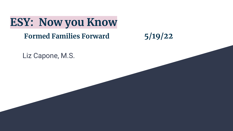**ESY: Now you Know**

#### **Formed Families Forward 5/19/22**

Liz Capone, M.S.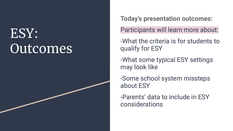# ESY: **Outcomes**

**Today's presentation outcomes:**

Participants will learn more about:

-What the criteria is for students to qualify for ESY

-What some typical ESY settings may look like

-Some school system missteps about ESY

-Parents' data to include in ESY considerations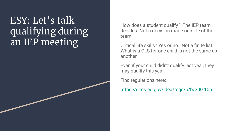## ESY: Let's talk qualifying during an IEP meeting

How does a student qualify? The IEP team decides. Not a decision made outside of the team.

Critical life skills? Yes or no. Not a finite list. What is a CLS for one child is not the same as another.

Even if your child didn't qualify last year, they may qualify this year.

Find regulations here:

<https://sites.ed.gov/idea/regs/b/b/300.106>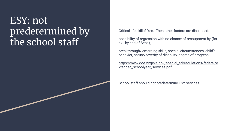#### ESY: not predetermined by the school staff

Critical life skills? Yes. Then other factors are discussed:

possibility of regression with no chance of recoupment by (for ex . by end of Sept.),

breakthrough/ emerging skills, special circumstances, child's behavior, nature/severity of disability, degree of progress

[https://www.doe.virginia.gov/special\\_ed/regulations/federal/e](https://www.doe.virginia.gov/special_ed/regulations/federal/extended_schoolyear_services.pdf) [xtended\\_schoolyear\\_services.pdf](https://www.doe.virginia.gov/special_ed/regulations/federal/extended_schoolyear_services.pdf)

School staff should not predetermine ESY services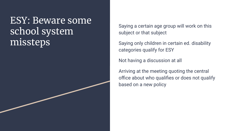ESY: Beware some school system missteps

Saying a certain age group will work on this subject or that subject

Saying only children in certain ed. disability categories qualify for ESY

Not having a discussion at all

Arriving at the meeting quoting the central office about who qualifies or does not qualify based on a new policy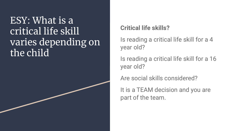### ESY: What is a critical life skill varies depending on the child

#### **Critical life skills?**

Is reading a critical life skill for a 4 year old?

Is reading a critical life skill for a 16 year old?

Are social skills considered?

It is a TEAM decision and you are part of the team.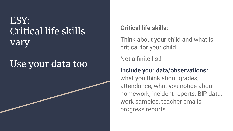### ESY: Critical life skills vary

## Use your data too

#### **Critical life skills:**

Think about your child and what is critical for your child.

Not a finite list!

#### **Include your data/observations:**

what you think about grades, attendance, what you notice about homework, incident reports, BIP data, work samples, teacher emails, progress reports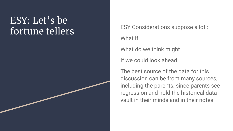#### ESY: Let's be fortune tellers ESY Considerations suppose a lot:

What if…

What do we think might…

If we could look ahead..

The best source of the data for this discussion can be from many sources, including the parents, since parents see regression and hold the historical data vault in their minds and in their notes.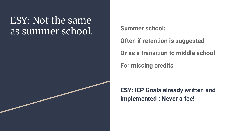#### ESY: Not the same as summer school. Summer school:

**Often if retention is suggested**

**Or as a transition to middle school**

**For missing credits**

**ESY: IEP Goals already written and implemented : Never a fee!**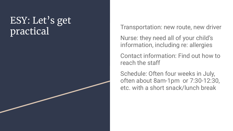## ESY: Let's get practical Transportation: new route, new driver

Nurse: they need all of your child's information, including re: allergies

Contact information: Find out how to reach the staff

Schedule: Often four weeks in July, often about 8am-1pm or 7:30-12:30, etc. with a short snack/lunch break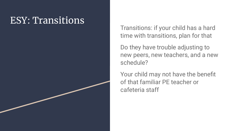#### ESY: Transitions

Transitions: if your child has a hard time with transitions, plan for that

Do they have trouble adjusting to new peers, new teachers, and a new schedule?

Your child may not have the benefit of that familiar PE teacher or cafeteria staff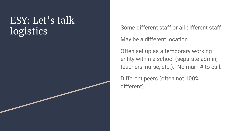## ESY: Let's talk logistics Some different staff or all different staff

May be a different location

Often set up as a temporary working entity within a school (separate admin, teachers, nurse, etc.). No main # to call.

Different peers (often not 100% different)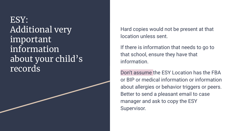ESY: Additional very important information about your child's records

Hard copies would not be present at that location unless sent.

If there is information that needs to go to that school, ensure they have that information.

Don't assume the ESY Location has the FBA or BIP or medical information or information about allergies or behavior triggers or peers. Better to send a pleasant email to case manager and ask to copy the ESY Supervisor.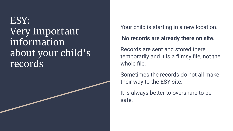### ESY: Very Important information about your child's records



#### **No records are already there on site.**

Records are sent and stored there temporarily and it is a flimsy file, not the whole file.

Sometimes the records do not all make their way to the ESY site.

It is always better to overshare to be safe.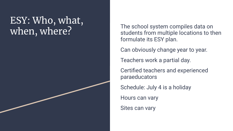# ESY: Who, what,

when, where? The school system compiles data on<br>students from multiple locations to the students from multiple locations to then formulate its ESY plan.

Can obviously change year to year.

Teachers work a partial day.

Certified teachers and experienced paraeducators

Schedule: July 4 is a holiday

Hours can vary

Sites can vary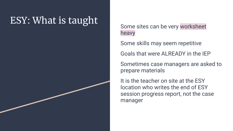## ESY: What is taught

Some sites can be very worksheet heavy

Some skills may seem repetitive

Goals that were ALREADY in the IEP

Sometimes case managers are asked to prepare materials

It is the teacher on site at the ESY location who writes the end of ESY session progress report, not the case manager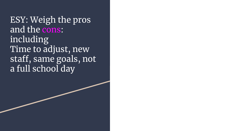ESY: Weigh the pros and the cons: including Time to adjust, new staff, same goals, not a full school day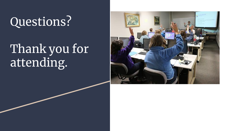# Questions?

# Thank you for attending.